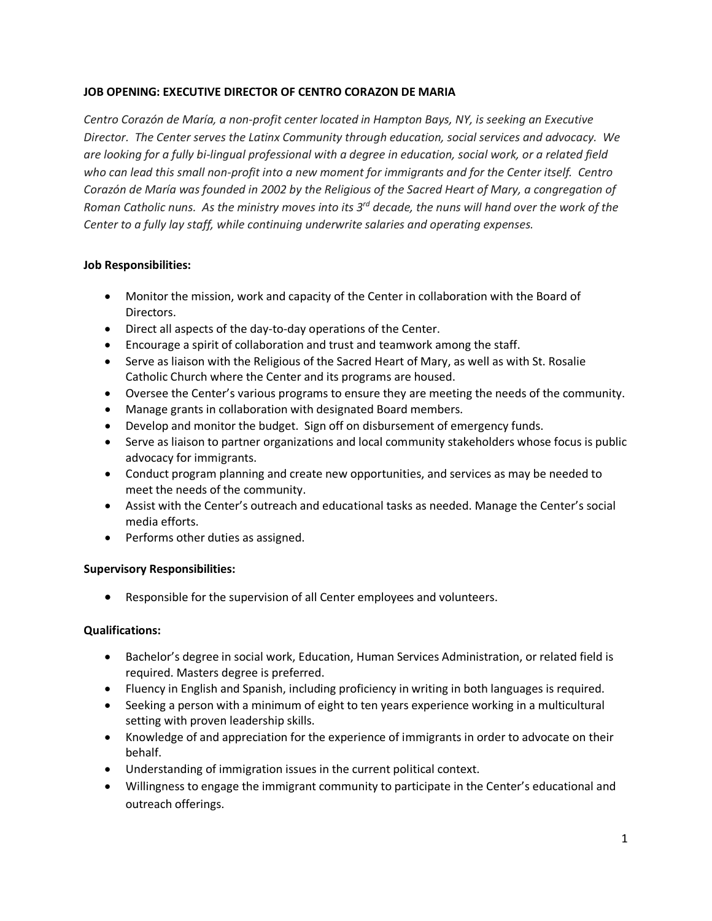## **JOB OPENING: EXECUTIVE DIRECTOR OF CENTRO CORAZON DE MARIA**

*Centro Corazón de María, a non-profit center located in Hampton Bays, NY, is seeking an Executive Director. The Center serves the Latinx Community through education, social services and advocacy. We are looking for a fully bi-lingual professional with a degree in education, social work, or a related field who can lead this small non-profit into a new moment for immigrants and for the Center itself. Centro Corazón de María was founded in 2002 by the Religious of the Sacred Heart of Mary, a congregation of Roman Catholic nuns. As the ministry moves into its 3rd decade, the nuns will hand over the work of the Center to a fully lay staff, while continuing underwrite salaries and operating expenses.*

## **Job Responsibilities:**

- Monitor the mission, work and capacity of the Center in collaboration with the Board of Directors.
- Direct all aspects of the day-to-day operations of the Center.
- Encourage a spirit of collaboration and trust and teamwork among the staff.
- Serve as liaison with the Religious of the Sacred Heart of Mary, as well as with St. Rosalie Catholic Church where the Center and its programs are housed.
- Oversee the Center's various programs to ensure they are meeting the needs of the community.
- Manage grants in collaboration with designated Board members.
- Develop and monitor the budget. Sign off on disbursement of emergency funds.
- Serve as liaison to partner organizations and local community stakeholders whose focus is public advocacy for immigrants.
- Conduct program planning and create new opportunities, and services as may be needed to meet the needs of the community.
- Assist with the Center's outreach and educational tasks as needed. Manage the Center's social media efforts.
- Performs other duties as assigned.

# **Supervisory Responsibilities:**

• Responsible for the supervision of all Center employees and volunteers.

# **Qualifications:**

- Bachelor's degree in social work, Education, Human Services Administration, or related field is required. Masters degree is preferred.
- Fluency in English and Spanish, including proficiency in writing in both languages is required.
- Seeking a person with a minimum of eight to ten years experience working in a multicultural setting with proven leadership skills.
- Knowledge of and appreciation for the experience of immigrants in order to advocate on their behalf.
- Understanding of immigration issues in the current political context.
- Willingness to engage the immigrant community to participate in the Center's educational and outreach offerings.